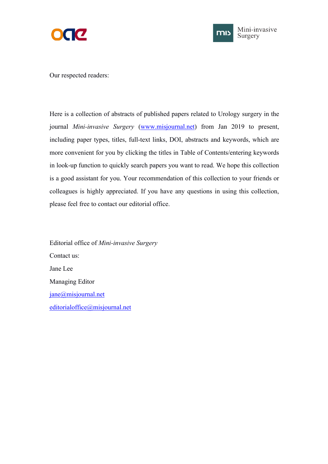



Our respected readers:

Here is a collection of abstracts of published papers related to Urology surgery in the journal *Mini-invasive Surgery* [\(www.misjournal.net](http://www.misjournal.net)) from Jan 2019 to present, including paper types, titles, full-text links, DOI, abstracts and keywords, which are more convenient for you by clicking the titles in Table of Contents/entering keywords in look-up function to quickly search papers you want to read. We hope this collection is a good assistant for you. Your recommendation of this collection to your friends or colleagues is highly appreciated. If you have any questions in using this collection, please feel free to contact our editorial office.

Editorial office of *Mini-invasive Surgery* Contact us: Jane Lee Managing Editor [jane@misjournal.net](mailto:jane@misjournal.net) [editorialoffice@misjournal.net](mailto:editorialoffice@misjournal.net)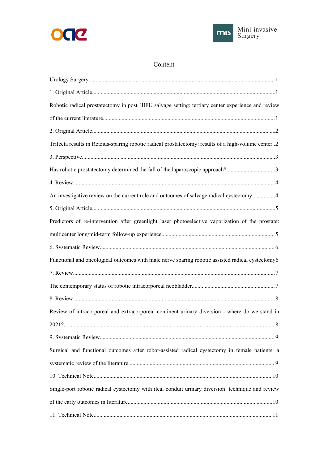



## Content

| Robotic radical prostatectomy in post HIFU salvage setting: tertiary center experience and review   |  |
|-----------------------------------------------------------------------------------------------------|--|
|                                                                                                     |  |
|                                                                                                     |  |
| Trifecta results in Retzius-sparing robotic radical prostatectomy: results of a high-volume center2 |  |
|                                                                                                     |  |
| Has robotic prostatectomy determined the fall of the laparoscopic approach?3                        |  |
|                                                                                                     |  |
| An investigative review on the current role and outcomes of salvage radical cystectomy4             |  |
|                                                                                                     |  |
| Predictors of re-intervention after greenlight laser photoselective vaporization of the prostate:   |  |
|                                                                                                     |  |
|                                                                                                     |  |
| Functional and oncological outcomes with male nerve sparing robotic assisted radical cystectomy6    |  |
|                                                                                                     |  |
|                                                                                                     |  |
|                                                                                                     |  |
| Review of intracorporeal and extracorporeal continent urinary diversion - where do we stand in      |  |
|                                                                                                     |  |
|                                                                                                     |  |
| Surgical and functional outcomes after robot-assisted radical cystectomy in female patients: a      |  |
|                                                                                                     |  |
|                                                                                                     |  |
| Single-port robotic radical cystectomy with ileal conduit urinary diversion: technique and review   |  |
|                                                                                                     |  |
|                                                                                                     |  |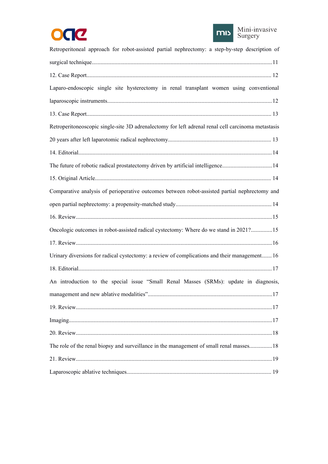



| Retroperitoneal approach for robot-assisted partial nephrectomy: a step-by-step description of     |  |
|----------------------------------------------------------------------------------------------------|--|
|                                                                                                    |  |
|                                                                                                    |  |
| Laparo-endoscopic single site hysterectomy in renal transplant women using conventional            |  |
|                                                                                                    |  |
|                                                                                                    |  |
| Retroperitoneoscopic single-site 3D adrenalectomy for left adrenal renal cell carcinoma metastasis |  |
|                                                                                                    |  |
|                                                                                                    |  |
| The future of robotic radical prostatectomy driven by artificial intelligence14                    |  |
|                                                                                                    |  |
| Comparative analysis of perioperative outcomes between robot-assisted partial nephrectomy and      |  |
|                                                                                                    |  |
|                                                                                                    |  |
| Oncologic outcomes in robot-assisted radical cystectomy: Where do we stand in 2021?15              |  |
|                                                                                                    |  |
| Urinary diversions for radical cystectomy: a review of complications and their management 16       |  |
|                                                                                                    |  |
| An introduction to the special issue "Small Renal Masses (SRMs): update in diagnosis,              |  |
|                                                                                                    |  |
|                                                                                                    |  |
|                                                                                                    |  |
|                                                                                                    |  |
| The role of the renal biopsy and surveillance in the management of small renal masses 18           |  |
|                                                                                                    |  |
|                                                                                                    |  |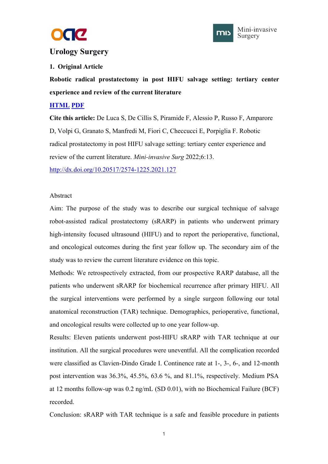



## <span id="page-3-1"></span><span id="page-3-0"></span>**Urology Surgery**

#### **1. Original Article**

**Robotic radical prostatectomy in post HIFU salvage setting:tertiary center experience and review of the current literature**

#### **[HTML](https://misjournal.net/article/view/4636) [PDF](https://misjournal.net/article/download/4636)**

**Cite this article:** De Luca S, De Cillis S, Piramide F, Alessio P, Russo F, Amparore D, Volpi G, Granato S, Manfredi M, Fiori C, Checcucci E, Porpiglia F. Robotic radical prostatectomy in post HIFU salvage setting: tertiary center experience and review of the current literature. *Mini-invasive Surg* 2022;6:13.

<http://dx.doi.org/10.20517/2574-1225.2021.127>

#### Abstract

Aim: The purpose of the study was to describe our surgical technique of salvage robot-assisted radical prostatectomy (sRARP) in patients who underwent primary high-intensity focused ultrasound (HIFU) and to report the perioperative, functional, and oncological outcomes during the first year follow up. The secondary aim of the study was to review the current literature evidence on this topic.

Methods: We retrospectively extracted, from our prospective RARP database, all the patients who underwent sRARP for biochemical recurrence after primary HIFU. All the surgical interventions were performed by a single surgeon following our total anatomical reconstruction (TAR) technique. Demographics, perioperative, functional, and oncological results were collected up to one year follow-up.

Results: Eleven patients underwent post-HIFU sRARP with TAR technique at our institution. All the surgical procedures were uneventful. All the complication recorded were classified as Clavien-Dindo Grade I. Continence rate at 1-, 3-, 6-, and 12-month post intervention was 36.3%, 45.5%, 63.6 %, and 81.1%, respectively. Medium PSA at 12 months follow-up was 0.2 ng/mL (SD 0.01), with no Biochemical Failure (BCF) recorded.

Conclusion: sRARP with TAR technique is a safe and feasible procedure in patients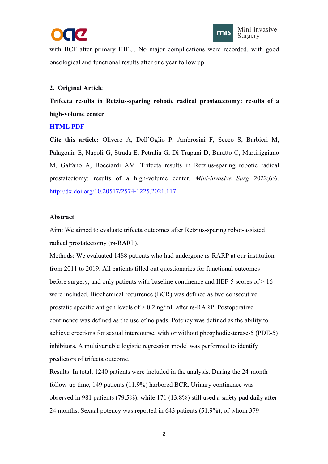



<span id="page-4-1"></span><span id="page-4-0"></span>with BCF after primary HIFU. No major complications were recorded, with good oncological and functional results after one year follow up.

#### **2. Original Article**

**Trifecta results in Retzius-sparing robotic radical prostatectomy: results of a high-volume center**

#### **[HTML](https://misjournal.net/article/view/4548) [PDF](https://misjournal.net/article/download/4548)**

**Cite this article:** Olivero A, Dell'Oglio P, Ambrosini F, Secco S, Barbieri M, Palagonia E, Napoli G, Strada E, Petralia G, Di Trapani D, Buratto C, Martiriggiano M, Galfano A, Bocciardi AM. Trifecta results in Retzius-sparing robotic radical prostatectomy: results of a high-volume center. *Mini-invasive Surg* 2022;6:6. <http://dx.doi.org/10.20517/2574-1225.2021.117>

#### **Abstract**

Aim: We aimed to evaluate trifecta outcomes after Retzius-sparing robot-assisted radical prostatectomy (rs-RARP).

Methods: We evaluated 1488 patients who had undergone rs-RARP at our institution from 2011 to 2019. All patients filled out questionaries for functional outcomes before surgery, and only patients with baseline continence and IIEF-5 scores of  $> 16$ were included. Biochemical recurrence (BCR) was defined as two consecutive prostatic specific antigen levels of  $> 0.2$  ng/mL after rs-RARP. Postoperative continence was defined as the use of no pads. Potency was defined as the ability to achieve erections for sexual intercourse, with or without phosphodiesterase-5 (PDE-5) inhibitors. A multivariable logistic regression model was performed to identify predictors of trifecta outcome.

Results: In total, 1240 patients were included in the analysis. During the 24-month follow-up time, 149 patients (11.9%) harbored BCR. Urinary continence was observed in 981 patients (79.5%), while 171 (13.8%) still used a safety pad daily after 24 months. Sexual potency was reported in 643 patients (51.9%), of whom 379

2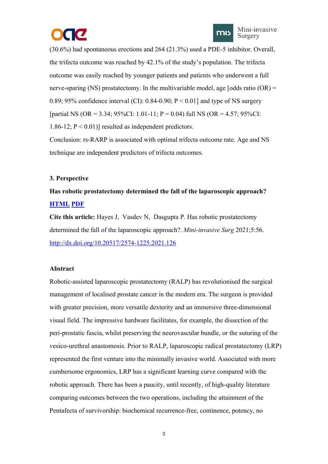

<span id="page-5-0"></span>(30.6%) had spontaneous erections and 264 (21.3%) used a PDE-5 inhibitor. Overall, the trifecta outcome was reached by 42.1% of the study's population. The trifecta outcome was easily reached by younger patients and patients who underwent a full nerve-sparing (NS) prostatectomy. In the multivariable model, age [odds ratio  $(OR)$  = 0.89; 95% confidence interval (CI): 0.84-0.90;  $P < 0.01$ ] and type of NS surgery [partial NS (OR = 3.34; 95%CI: 1.01-11; P = 0.04) full NS (OR = 4.57; 95%CI: 1.86-12;  $P < 0.01$ )] resulted as independent predictors.

Conclusion: rs-RARP is associated with optimal trifecta outcome rate. Age and NS technique are independent predictors of trifecta outcomes.

#### **3. Perspective**

# **Has robotic prostatectomy determined the fall of the laparoscopic approach? [HTML](https://misjournal.net/article/view/4469) [PDF](https://misjournal.net/article/download/4469)**

**Cite this article:** Hayes J, Vasdev N, Dasgupta P. Has robotic prostatectomy determined the fall of the laparoscopic approach?. *Mini-invasive Surg* 2021;5:56. <http://dx.doi.org/10.20517/2574-1225.2021.126>

#### **Abstract**

Robotic-assisted laparoscopic prostatectomy (RALP) has revolutionised the surgical management of localised prostate cancer in the modern era. The surgeon is provided with greater precision, more versatile dexterity and an immersive three-dimensional visual field. The impressive hardware facilitates, for example, the dissection of the peri-prostatic fascia, whilst preserving the neurovascular bundle, or the suturing of the vesico-urethral anastomosis. Prior to RALP, laparoscopic radical prostatectomy (LRP) represented the first venture into the minimally invasive world. Associated with more cumbersome ergonomics, LRP has a significant learning curve compared with the robotic approach. There has been a paucity, until recently, of high-quality literature comparing outcomes between the two operations, including the attainment of the Pentafecta of survivorship: biochemical recurrence-free, continence, potency, no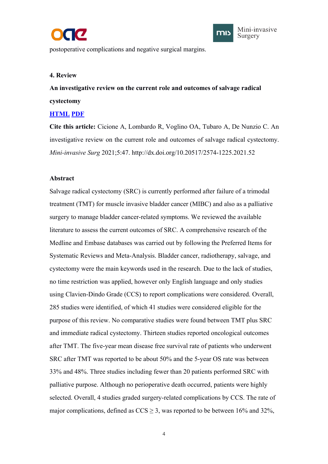



<span id="page-6-0"></span>postoperative complications and negative surgical margins.

#### **4. Review**

**An investigative review on the current role and outcomes ofsalvage radical cystectomy**

#### **[HTML](https://misjournal.net/article/view/4217) [PDF](https://misjournal.net/article/download/4217)**

**Cite this article:** Cicione A, Lombardo R, Voglino OA, Tubaro A, De Nunzio C. An investigative review on the current role and outcomes of salvage radical cystectomy. *Mini-invasive Surg* 2021;5:47. http://dx.doi.org/10.20517/2574-1225.2021.52

#### **Abstract**

Salvage radical cystectomy (SRC) is currently performed after failure of a trimodal treatment (TMT) for muscle invasive bladder cancer (MIBC) and also as a palliative surgery to manage bladder cancer-related symptoms. We reviewed the available literature to assess the current outcomes of SRC. A comprehensive research of the Medline and Embase databases was carried out by following the Preferred Items for Systematic Reviews and Meta-Analysis. Bladder cancer, radiotherapy, salvage, and cystectomy were the main keywords used in the research. Due to the lack of studies, no time restriction was applied, however only English language and only studies using Clavien-Dindo Grade (CCS) to report complications were considered. Overall, 285 studies were identified, of which 41 studies were considered eligible for the purpose of this review. No comparative studies were found between TMT plus SRC and immediate radical cystectomy. Thirteen studies reported oncological outcomes after TMT. The five-year mean disease free survival rate of patients who underwent SRC after TMT was reported to be about 50% and the 5-year OS rate was between 33% and 48%. Three studies including fewer than 20 patients performed SRC with palliative purpose.Although no perioperative death occurred, patients were highly selected. Overall, 4 studies graded surgery-related complications by CCS. The rate of major complications, defined as  $CCS \geq 3$ , was reported to be between 16% and 32%,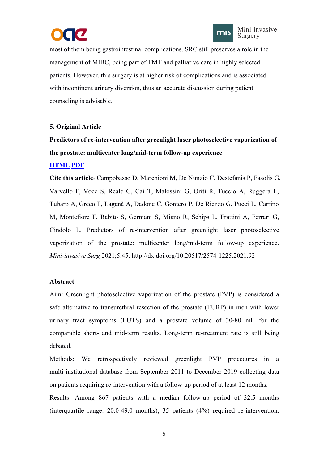



<span id="page-7-0"></span>most of them being gastrointestinal complications. SRC still preserves a role in the management of MIBC, being part of TMT and palliative care in highly selected patients. However, this surgery is at higher risk of complications and is associated with incontinent urinary diversion, thus an accurate discussion during patient counseling is advisable.

#### **5. Original Article**

# **Predictors ofre-intervention after greenlight laser photoselective vaporization of the prostate: multicenter long/mid-term follow-up experience**

#### **[HTML](https://misjournal.net/article/view/4310) [PDF](https://misjournal.net/article/download/4310)**

**Cite this article:** Campobasso D, Marchioni M, De Nunzio C, Destefanis P, Fasolis G, Varvello F, Voce S, Reale G, CaiT, Malossini G, Oriti R, Tuccio A, Ruggera L, Tubaro A, Greco F, Laganà A, Dadone C, Gontero P, De Rienzo G, Pucci L, Carrino M, Montefiore F, Rabito S, Germani S, Miano R, Schips L, Frattini A, Ferrari G, Cindolo L. Predictors of re-intervention after greenlight laser photoselective vaporization of the prostate: multicenter long/mid-term follow-up experience. *Mini-invasive Surg* 2021;5:45. http://dx.doi.org/10.20517/2574-1225.2021.92

#### **Abstract**

Aim: Greenlight photoselective vaporization of the prostate (PVP) is considered a safe alternative to transurethral resection of the prostate (TURP) in men with lower urinary tract symptoms (LUTS) and a prostate volume of 30-80 mL for the comparable short- and mid-term results. Long-term re-treatment rate is still being debated.

Methods: We retrospectively reviewed greenlight PVP procedures in a multi-institutional database from September 2011 to December 2019 collecting data on patients requiring re-intervention with a follow-up period of at least 12 months.

Results: Among 867 patients with amedian follow-up period of 32.5 months (interquartile range: 20.0-49.0 months), 35 patients (4%) required re-intervention.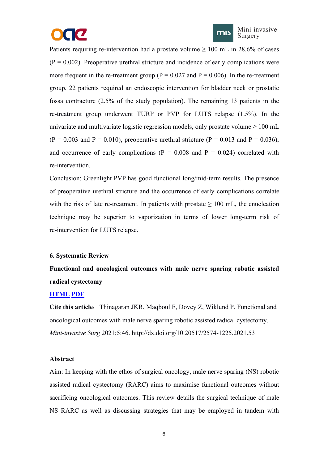



<span id="page-8-0"></span>Patients requiring re-intervention had a prostate volume  $\geq 100$  mL in 28.6% of cases  $(P = 0.002)$ . Preoperative urethral stricture and incidence of early complications were more frequent in the re-treatment group ( $P = 0.027$  and  $P = 0.006$ ). In the re-treatment group, 22 patients required an endoscopic intervention for bladder neck or prostatic fossa contracture (2.5% of the study population). The remaining 13 patients in the re-treatment group underwent TURP or PVP for LUTS relapse (1.5%). In the univariate and multivariate logistic regression models, only prostate volume  $\geq 100$  mL  $(P = 0.003$  and  $P = 0.010$ ), preoperative urethral stricture  $(P = 0.013$  and  $P = 0.036$ ), and occurrence of early complications ( $P = 0.008$  and  $P = 0.024$ ) correlated with re-intervention.

Conclusion: Greenlight PVP has good functional long/mid-term results. The presence of preoperative urethral stricture and the occurrence of early complications correlate with the risk of late re-treatment. In patients with prostate  $\geq 100$  mL, the enucleation technique may be superior to vaporization in terms of lower long-term risk of re-intervention for LUTS relapse.

#### **6. Systematic Review**

**Functional and oncological outcomes with male nerve sparing robotic assisted radical cystectomy**

#### **[HTML](https://misjournal.net/article/view/4068) [PDF](https://misjournal.net/article/download/4068)**

**Cite this article:** Thinagaran JKR, Maqboul F, Dovey Z, Wiklund P. Functional and oncological outcomes with male nerve sparing robotic assisted radical cystectomy. *Mini-invasive Surg* 2021;5:46. http://dx.doi.org/10.20517/2574-1225.2021.53

#### **Abstract**

Aim: In keeping with the ethos of surgical oncology, male nerve sparing (NS) robotic assisted radical cystectomy (RARC) aims to maximise functional outcomes without sacrificing oncological outcomes. This review details the surgical technique of male NS RARC as well as discussing strategies that may be employed in tandem with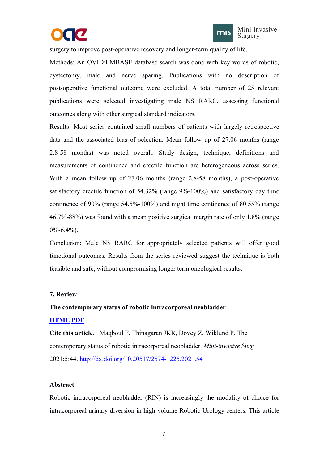



<span id="page-9-0"></span>surgery to improve post-operative recovery and longer-term quality of life.

Methods: An OVID/EMBASE database search was done with key words of robotic, cystectomy, male and nerve sparing. Publications with no description of post-operative functional outcome were excluded. A total number of 25 relevant publications were selected investigating male NS RARC, assessing functional outcomes along with other surgical standard indicators.

Results: Most series contained small numbers of patients with largely retrospective data and the associated bias of selection. Mean follow up of 27.06 months (range 2.8-58 months) was noted overall. Study design, technique, definitions and measurements of continence and erectile function are heterogeneous across series. With a mean follow up of 27.06 months (range 2.8-58 months), a post-operative satisfactory erectile function of 54.32% (range 9%-100%) and satisfactory day time continence of 90% (range 54.5%-100%) and night time continence of 80.55% (range 46.7%-88%) was found with a mean positive surgical margin rate of only 1.8% (range  $0\% - 6.4\%$ ).

Conclusion: Male NS RARC for appropriately selected patients will offer good functional outcomes. Results from the series reviewed suggest the technique is both feasible and safe, without compromising longer term oncological results.

#### **7. Review**

#### **The contemporary status of robotic intracorporeal neobladder**

#### **[HTML](https://misjournal.net/article/view/4234) [PDF](https://misjournal.net/article/download/4234)**

**Cite this article:** Maqboul F, Thinagaran JKR, Dovey Z, Wiklund P. The contemporary status ofrobotic intracorporeal neobladder. *Mini-invasive Surg* 2021;5:44. <http://dx.doi.org/10.20517/2574-1225.2021.54>

#### **Abstract**

Robotic intracorporeal neobladder (RIN) is increasingly the modality of choice for intracorporeal urinary diversion in high-volume Robotic Urology centers. This article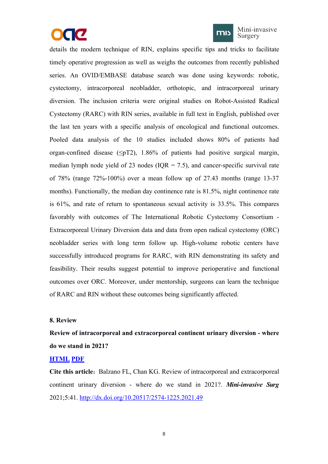



Mini-invasive Surgery

<span id="page-10-0"></span>details the modern technique of RIN, explains specific tips and tricks to facilitate timely operative progression as well as weighs the outcomes from recently published series. An OVID/EMBASE database search was done using keywords: robotic, cystectomy, intracorporeal neobladder, orthotopic, and intracorporeal urinary diversion. The inclusion criteria were original studies on Robot-Assisted Radical Cystectomy (RARC) with RIN series, available in full text in English, published over the last ten years with a specific analysis of oncological and functional outcomes. Pooled data analysis of the 10 studies included shows 80% of patients had organ-confined disease ( $\leq pT2$ ), 1.86% of patients had positive surgical margin, median lymph node yield of 23 nodes ( $IQR = 7.5$ ), and cancer-specific survival rate of 78% (range 72%-100%) over a mean follow up of 27.43 months (range 13-37 months). Functionally, the median day continence rate is 81.5%, night continence rate is  $61\%$ , and rate of return to spontaneous sexual activity is  $33.5\%$ . This compares favorably with outcomes of The International Robotic Cystectomy Consortium - Extracorporeal Urinary Diversion data and data from open radical cystectomy (ORC) neobladder series with long term follow up. High-volume robotic centers have successfully introduced programs for RARC, with RIN demonstrating its safety and feasibility. Their results suggest potential to improve perioperative and functional outcomes over ORC. Moreover, under mentorship, surgeons can learn the technique of RARC and RIN without these outcomes being significantly affected.

#### **8. Review**

# **Review of intracorporeal and extracorporeal continent urinary diversion - where do we stand in 2021?**

#### **[HTML](https://misjournal.net/article/view/4111) [PDF](https://misjournal.net/article/download/4111)**

**Cite this article:** Balzano FL, Chan KG. Review of intracorporeal and extracorporeal continent urinary diversion - where do we stand in 2021?. *Mini-invasive Surg* 2021;5:41. <http://dx.doi.org/10.20517/2574-1225.2021.49>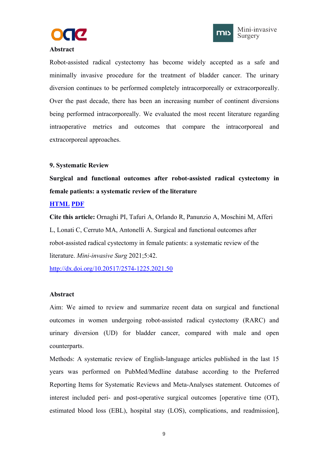



#### <span id="page-11-0"></span>**Abstract**

Robot-assisted radical cystectomy has become widely accepted as a safe and minimally invasive procedure for the treatment of bladder cancer. The urinary diversion continues to be performed completely intracorporeally or extracorporeally. Over the past decade, there has been an increasing number of continent diversions being performed intracorporeally. We evaluated the most recent literature regarding intraoperative metrics and outcomes that compare the intracorporeal and extracorporeal approaches.

#### **9. Systematic Review**

**Surgical and functional outcomes after robot-assisted radical cystectomy in female patients: a systematic review of the literature**

#### **[HTML](https://misjournal.net/article/view/4165) [PDF](https://misjournal.net/article/download/4165)**

**Cite this article:** Ornaghi PI, Tafuri A, Orlando R, Panunzio A, Moschini M, Afferi L, Lonati C, Cerruto MA, Antonelli A. Surgical and functional outcomes after robot-assisted radical cystectomy in female patients: a systematic review of the literature. *Mini-invasive Surg* 2021;5:42.

<http://dx.doi.org/10.20517/2574-1225.2021.50>

#### **Abstract**

Aim: We aimed to review and summarize recent data on surgical and functional outcomes in women undergoing robot-assisted radical cystectomy (RARC) and urinary diversion (UD) for bladder cancer, compared with male and open counterparts.

Methods: A systematic review of English-language articles published in the last 15 years was performed on PubMed/Medline database according to the Preferred Reporting Items for Systematic Reviews and Meta-Analyses statement. Outcomes of interest included peri- and post-operative surgical outcomes [operative time (OT), estimated blood loss (EBL), hospital stay (LOS), complications, and readmission],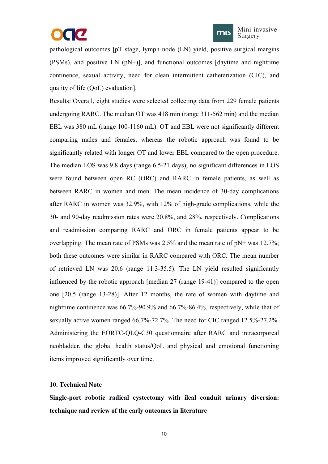# CC



<span id="page-12-0"></span>pathological outcomes [pT stage, lymph node (LN) yield, positive surgical margins (PSMs), and positive LN (pN+)], and functional outcomes [daytime and nighttime continence, sexual activity, need for clean intermittent catheterization (CIC), and quality of life (QoL) evaluation].

Results: Overall, eight studies were selected collecting data from 229 female patients undergoing RARC. The median OT was 418 min (range 311-562 min) and the median EBL was 380 mL (range 100-1160 mL). OT and EBL were not significantly different comparing males and females, whereas the robotic approach was found to be significantly related with longer OT and lower EBL compared to the open procedure. The median LOS was 9.8 days(range 6.5-21 days); no significant differences in LOS were found between open RC (ORC) and RARC in female patients, as well as between RARC in women and men. The mean incidence of 30-day complications after RARC in women was 32.9%, with 12% of high-grade complications, while the 30- and 90-day readmission rates were 20.8%, and 28%, respectively. Complications and readmission comparing RARC and ORC in female patients appear to be overlapping. The mean rate of PSMs was  $2.5\%$  and the mean rate of pN+ was 12.7%; both these outcomes were similar in RARC compared with ORC.The mean number of retrieved LN was 20.6 (range 11.3-35.5). The LN yield resulted significantly influenced by the robotic approach [median 27 (range 19-41)] compared to the open one [20.5 (range 13-28)]. After 12 months, the rate of women with daytime and nighttime continence was 66.7%-90.9% and 66.7%-86.4%, respectively, while that of sexually active women ranged 66.7%-72.7%. The need for CIC ranged 12.5%-27.2%. Administering the EORTC-QLQ-C30 questionnaire after RARC and intracorporeal neobladder, the global health status/QoL and physical and emotional functioning items improved significantly over time.

#### **10. Technical Note**

**Single-port robotic radical cystectomy with ileal conduit urinary diversion: technique and review of the early outcomes in literature**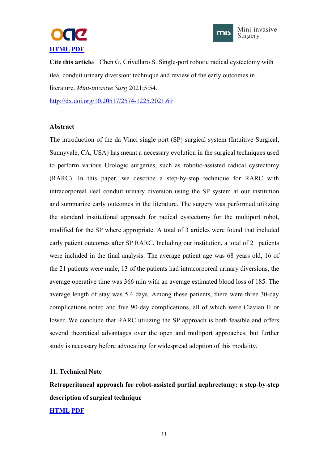



<span id="page-13-0"></span>**Cite this article:** Chen G, Crivellaro S. Single-port robotic radical cystectomy with ileal conduit urinary diversion: technique and review of the early outcomes in literature. *Mini-invasive Surg* 2021;5:54.

<http://dx.doi.org/10.20517/2574-1225.2021.69>

#### **Abstract**

The introduction of the da Vinci single port (SP) surgical system (Intuitive Surgical, Sunnyvale, CA, USA) has meant a necessary evolution in the surgical techniques used to perform various Urologic surgeries, such as robotic-assisted radical cystectomy (RARC). In this paper, we describe a step-by-step technique for RARC with intracorporeal ileal conduit urinary diversion using the SP system at our institution and summarize early outcomes in the literature. The surgery was performed utilizing the standard institutional approach for radical cystectomy for the multiport robot, modified for the SP where appropriate. A total of 3 articles were found that included early patient outcomes after SP RARC. Including our institution, a total of 21 patients were included in the final analysis. The average patient age was 68 years old, 16 of the 21 patients were male, 13 of the patients had intracorporeal urinary diversions, the average operative time was 366 min with an average estimated blood loss of 185. The average length of stay was 5.4 days. Among these patients, there were three 30-day complications noted and five 90-day complications, all of which were Clavian II or lower. We conclude that RARC utilizing the SP approach is both feasible and offers several theoretical advantages over the open and multiport approaches, but further study is necessary before advocating for widespread adoption of this modality.

#### **11. Technical Note**

**Retroperitoneal approach for robot-assisted partial nephrectomy: a step-by-step description of surgical technique**

#### **[HTML](https://misjournal.net/article/view/4166) [PDF](https://misjournal.net/article/download/4166)**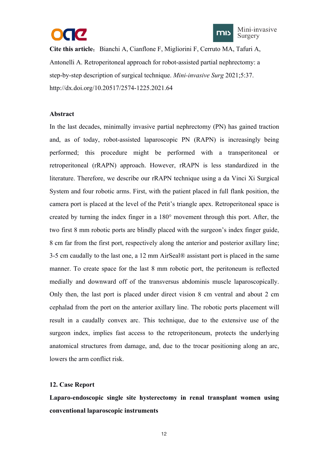



<span id="page-14-0"></span>**Cite this article:** Bianchi A, Cianflone F, Migliorini F, Cerruto MA, Tafuri A, Antonelli A. Retroperitoneal approach for robot-assisted partial nephrectomy: a step-by-step description of surgical technique. *Mini-invasive Surg* 2021;5:37. http://dx.doi.org/10.20517/2574-1225.2021.64

#### **Abstract**

In the last decades, minimally invasive partial nephrectomy (PN) has gained traction and, as of today, robot-assisted laparoscopic PN (RAPN) is increasingly being performed; this procedure might be performed with a transperitoneal or retroperitoneal (rRAPN) approach. However, rRAPN is less standardized in the literature. Therefore, we describe our rRAPN technique using a da Vinci Xi Surgical System and four robotic arms. First, with the patient placed in full flank position, the camera port is placed at the level of the Petit's triangle apex. Retroperitoneal space is created by turning the index finger in a 180° movement through this port. After, the two first 8 mm robotic ports are blindly placed with the surgeon's index finger guide, 8 cm far from the first port, respectively along the anterior and posterior axillary line; 3-5 cm caudally to the last one,a 12 mm AirSeal® assistant port is placed in the same manner. To create space for the last 8 mm robotic port, the peritoneum is reflected medially and downward off of the transversus abdominis muscle laparoscopically. Only then, the last port is placed under direct vision 8 cm ventral and about 2 cm cephalad from the port on the anterior axillary line. The robotic ports placement will result in a caudally convex arc. This technique, due to the extensive use of the surgeon index, implies fast access to the retroperitoneum, protects the underlying anatomical structures from damage, and, due to the trocar positioning along an arc, lowers the arm conflict risk.

#### **12. Case Report**

**Laparo-endoscopic single site hysterectomy in renal transplant women using conventional laparoscopic instruments**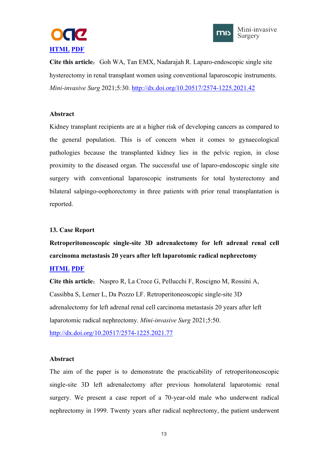



<span id="page-15-0"></span>**Cite this article:** Goh WA, Tan EMX, Nadarajah R. Laparo-endoscopic single site hysterectomy in renal transplant women using conventional laparoscopic instruments. *Mini-invasive Surg* 2021;5:30. <http://dx.doi.org/10.20517/2574-1225.2021.42>

#### **Abstract**

Kidney transplant recipients are at a higher risk of developing cancers as compared to the general population. This is of concern when it comes to gynaecological pathologies because the transplanted kidney lies in the pelvic region, in close proximity to the diseased organ. The successful use of laparo-endoscopic single site surgery with conventional laparoscopic instruments for total hysterectomy and bilateral salpingo-oophorectomy in three patients with prior renal transplantation is reported.

#### **13. Case Report**

**Retroperitoneoscopic single-site 3D adrenalectomy for left adrenal renal cell carcinoma metastasis 20 years after left laparotomic radical nephrectomy**

## **[HTML](https://misjournal.net/article/view/4235) [PDF](https://misjournal.net/article/download/4235)**

**Cite this article**:Naspro R, La Croce G, Pellucchi F, Roscigno M, Rossini A, Cassibba S, Lerner L, Da Pozzo LF. Retroperitoneoscopic single-site 3D adrenalectomy for left adrenal renal cell carcinoma metastasis 20 years after left laparotomic radical nephrectomy. *Mini-invasive Surg* 2021;5:50. <http://dx.doi.org/10.20517/2574-1225.2021.77>

#### **Abstract**

The aim of the paper is to demonstrate the practicability of retroperitoneoscopic single-site 3D left adrenalectomy after previous homolateral laparotomic renal surgery. We present a case report of a 70-year-old male who underwent radical nephrectomy in 1999. Twenty years after radical nephrectomy, the patient underwent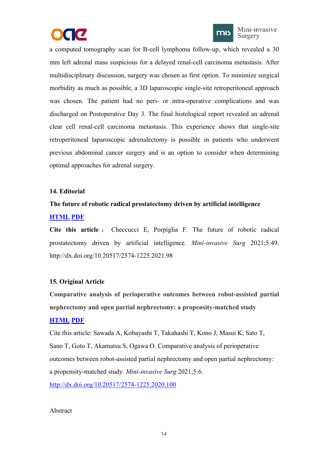



<span id="page-16-0"></span>a computed tomography scan for B-cell lymphoma follow-up, which revealed a 30 mm left adrenal mass suspicious for a delayed renal-cell carcinoma metastasis. After multidisciplinary discussion, surgery was chosen as first option. To minimize surgical morbidity as much as possible, a 3D laparoscopic single-site retroperitoneal approach was chosen. The patient had no peri- or intra-operative complications and was discharged on Postoperative Day 3. The final histological report revealed an adrenal clear cell renal-cell carcinoma metastasis. This experience shows that single-site retroperitoneal laparoscopic adrenalectomy is possible in patients who underwent previous abdominal cancer surgery and is an option to consider when determining optimal approaches for adrenal surgery.

#### **14. Editorial**

# **The future of robotic radical prostatectomy driven by artificial intelligence [HTML](https://misjournal.net/article/view/4357) [PDF](https://misjournal.net/article/download/4357)**

**Cite this article** : Checcucci E, Porpiglia F. The future of robotic radical prostatectomy driven by artificial intelligence. *Mini-invasive Surg* 2021;5:49. http://dx.doi.org/10.20517/2574-1225.2021.98

#### **15. Original Article**

**Comparative analysis of perioperative outcomes between robot-assisted partial nephrectomy and open partial nephrectomy: a propensity-matched study**

#### **[HTML](https://misjournal.net/article/view/3901) [PDF](https://misjournal.net/article/download/3901)**

Cite this article: Sawada A, Kobayashi T, Takahashi T, Kono J, Masui K, Sato T, Sano T, Goto T, Akamatsu S, Ogawa O. Comparative analysis of perioperative outcomes between robot-assisted partial nephrectomy and open partial nephrectomy: a propensity-matched study. *Mini-invasive Surg* 2021;5:6. <http://dx.doi.org/10.20517/2574-1225.2020.100>

#### Abstract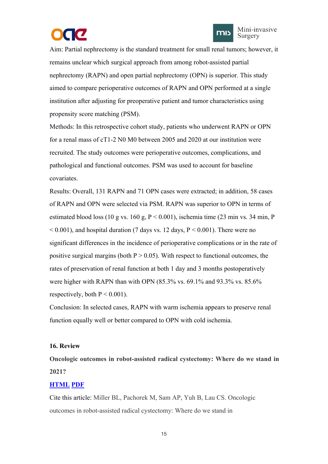

<span id="page-17-0"></span>Aim: Partial nephrectomy is the standard treatment for small renal tumors; however, it remains unclear which surgical approach from among robot-assisted partial nephrectomy (RAPN) and open partial nephrectomy (OPN) is superior. This study aimed to compare perioperative outcomes ofRAPN and OPN performed at a single institution after adjusting for preoperative patient and tumor characteristics using propensity score matching (PSM).

Methods: In this retrospective cohort study, patients who underwent RAPN or OPN for a renal mass of  $cT1-2$  N0 M0 between 2005 and 2020 at our institution were recruited. The study outcomes were perioperative outcomes, complications, and pathological and functional outcomes. PSM was used to account for baseline covariates.

Results: Overall, 131 RAPN and 71 OPN cases were extracted; in addition, 58 cases of RAPN and OPN were selected via PSM. RAPN was superior to OPN in terms of estimated blood loss (10 g vs. 160 g,  $P < 0.001$ ), ischemia time (23 min vs. 34 min, P  $\leq$  0.001), and hospital duration (7 days vs. 12 days, P  $\leq$  0.001). There were no significant differences in the incidence of perioperative complications or in the rate of positive surgical margins (both  $P > 0.05$ ). With respect to functional outcomes, the rates of preservation of renal function at both 1 day and 3 months postoperatively were higher with RAPN than with OPN (85.3% vs. 69.1% and 93.3% vs. 85.6% respectively, both  $P < 0.001$ ).<br>Conclusion: In selected cases, RAPN with warm ischemia appears to preserve renal

function equally well or better compared to OPN with cold ischemia.

#### **16. Review**

**Oncologic outcomes in robot-assisted radical cystectomy: Where do we stand in 2021?**

#### **[HTML](https://misjournal.net/article/view/3901https:/misjournal.net/article/view/4029) [PDF](https://misjournal.net/article/download/3901https:/oaepublishstorage.blob.core.windows.net/6e56e17a-6b5d-4526-b10c-e36cb88a8fca/4029.pdf)**

Cite this article: Miller BL, Pachorek M, Sam AP, Yuh B, Lau CS. Oncologic outcomes in robot-assisted radical cystectomy: Where do we stand in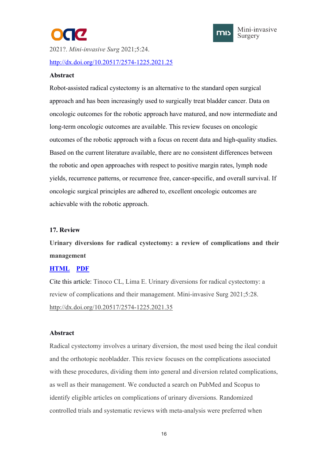

<span id="page-18-0"></span>2021?. *Mini-invasive Surg* 2021;5:24. <http://dx.doi.org/10.20517/2574-1225.2021.25>

#### **Abstract**

Robot-assisted radical cystectomy is an alternative to the standard open surgical approach and has been increasingly used to surgically treat bladder cancer. Data on oncologic outcomes for the robotic approach have matured, and now intermediate and long-term oncologic outcomes are available. This review focuses on oncologic outcomes of the robotic approach with a focus on recent data and high-quality studies. Based on the current literature available, there are no consistent differences between the robotic and open approaches with respect to positive margin rates, lymph node yields, recurrence patterns, or recurrence free, cancer-specific, and overall survival. If oncologic surgical principles are adhered to, excellent oncologic outcomes are achievable with the robotic approach.

#### **17. Review**

**Urinary diversions for radical cystectomy: a review of complications and their management**

#### **[HTML](https://misjournal.net/article/view/4101) [PDF](https://oaepublishstorage.blob.core.windows.net/401984fd-dca8-4ab0-abc6-0388a5ce71ec/4101.pdf)**

Cite this article: Tinoco CL, Lima E. Urinary diversions for radical cystectomy: a review of complications and their management. Mini-invasive Surg 2021;5:28. <http://dx.doi.org/10.20517/2574-1225.2021.35>

#### **Abstract**

Radical cystectomy involves a urinary diversion, the most used being the ileal conduit and the orthotopic neobladder. This review focuses on the complications associated with these procedures, dividing them into general and diversion related complications, as well as their management. We conducted a search on PubMed and Scopus to identify eligible articles on complications of urinary diversions. Randomized controlled trials and systematic reviews with meta-analysis were preferred when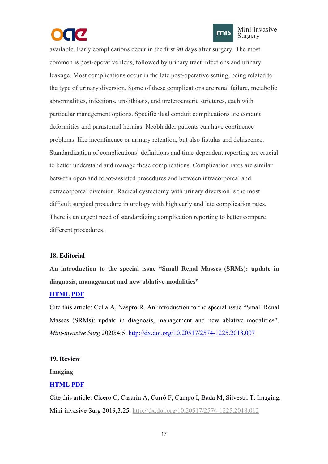



<span id="page-19-0"></span>available. Early complications occur in the first 90 days after surgery. The most common is post-operative ileus, followed by urinary tract infections and urinary leakage. Most complications occur in the late post-operative setting, being related to the type of urinary diversion. Some of these complications are renal failure, metabolic abnormalities, infections, urolithiasis, and ureteroenteric strictures, each with particular management options. Specific ileal conduit complications are conduit deformities and parastomal hernias. Neobladder patients can have continence problems, like incontinence or urinary retention, but also fistulas and dehiscence. Standardization of complications' definitions and time-dependent reporting are crucial to better understand and manage these complications. Complication rates are similar between open and robot-assisted procedures and between intracorporeal and extracorporeal diversion. Radical cystectomy with urinary diversion is the most difficult surgical procedure in urology with high early and late complication rates. There is an urgent need of standardizing complication reporting to better compare different procedures.

#### **18. Editorial**

**An introduction to the special issue "Small Renal Masses (SRMs): update in diagnosis, management and new ablative modalities"**

#### **[HTML](https://misjournal.net/article/view/3324) [PDF](https://oaepublishstorage.blob.core.windows.net/b24d89db-b36f-4e31-97ed-c1ff5fc463ed/3324.pdf)**

Cite this article: Celia A, Naspro R. An introduction to the special issue "Small Renal Masses (SRMs): update in diagnosis, management and new ablative modalities". *Mini-invasive Surg* 2020;4:5. <http://dx.doi.org/10.20517/2574-1225.2018.007>

#### **19. Review**

**Imaging**

#### **[HTML](https://misjournal.net/article/view/3202) [PDF](https://oaepublishstorage.blob.core.windows.net/35d85479-e840-4c64-a9f0-f60167d3dd1e/3202.pdf)**

Cite this article: Cicero C, Casarin A, Currò F, Campo I, Bada M, Silvestri T. Imaging. Mini-invasive Surg 2019;3:25. <http://dx.doi.org/10.20517/2574-1225.2018.012>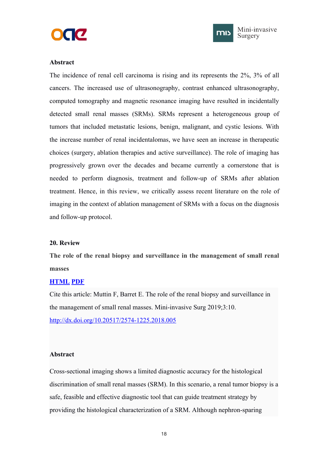



#### <span id="page-20-0"></span>**Abstract**

The incidence of renal cell carcinoma is rising and its represents the 2%, 3% of all cancers. The increased use of ultrasonography, contrast enhanced ultrasonography, computed tomography and magnetic resonance imaging have resulted in incidentally detected small renal masses (SRMs). SRMs represent a heterogeneous group of tumors that included metastatic lesions, benign, malignant, and cystic lesions. With the increase number of renal incidentalomas, we have seen an increase in therapeutic choices (surgery, ablation therapies and active surveillance). The role of imaging has progressively grown over the decades and became currently a cornerstone that is needed to perform diagnosis, treatment and follow-up of SRMs after ablation treatment. Hence, in this review, we critically assess recent literature on the role of imaging in the context of ablation management of SRMs with a focus on the diagnosis and follow-up protocol.

#### **20. Review**

**The role of the renal biopsy and surveillance in the [management](https://misjournal.net/article/view/3038) of small renal masses**

#### **[HTML](https://misjournal.net/article/view/3038) [PDF](https://oaepublishstorage.blob.core.windows.net/efca04d4-927f-4852-a0ed-f5856fc2544e/3038.pdf)**

Cite this article: Muttin F, Barret E. The role of the renal biopsy and surveillance in the management of small renal masses. Mini-invasive Surg 2019;3:10. <http://dx.doi.org/10.20517/2574-1225.2018.005>

#### **Abstract**

Cross-sectional imaging shows a limited diagnostic accuracy for the histological discrimination of small renal masses (SRM). In this scenario, a renal tumor biopsy is a safe, feasible and effective diagnostic tool that can guide treatment strategy by providing the histological characterization of a SRM. Although nephron-sparing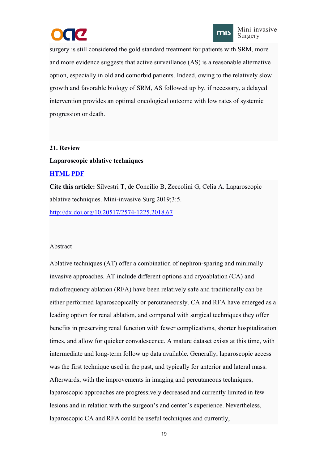



<span id="page-21-0"></span>surgery is still considered the gold standard treatment for patients with SRM, more and more evidence suggests that active surveillance (AS) is a reasonable alternative option, especially in old and comorbid patients. Indeed, owing to the relatively slow growth and favorable biology of SRM, AS followed up by, if necessary, a delayed intervention provides an optimal oncological outcome with low rates of systemic progression or death.

#### **21. Review**

#### **Laparoscopic ablative techniques**

#### **[HTML](https://misjournal.net/article/view/2990) [PDF](https://misjournal.net/article/download/2990)**

**Cite this article:** Silvestri T, de Concilio B, Zeccolini G, Celia A. Laparoscopic ablative techniques. Mini-invasive Surg 2019;3:5.

<http://dx.doi.org/10.20517/2574-1225.2018.67>

#### Abstract

Ablative techniques (AT) offer a combination of nephron-sparing and minimally invasive approaches. AT include different options and cryoablation  $(CA)$  and radiofrequency ablation (RFA) have been relatively safe and traditionally can be either performed laparoscopically or percutaneously. CA and RFA have emerged as a leading option for renal ablation, and compared with surgical techniques they offer benefits in preserving renal function with fewer complications, shorter hospitalization times, and allow for quicker convalescence. A mature dataset exists at this time, with intermediate and long-term follow up data available. Generally, laparoscopic access was the first technique used in the past, and typically for anterior and lateral mass. Afterwards, with the improvements in imaging and percutaneous techniques, laparoscopic approaches are progressively decreased and currently limited in few lesions and in relation with the surgeon's and center's experience. Nevertheless, laparoscopic CA and RFA could be useful techniques and currently,